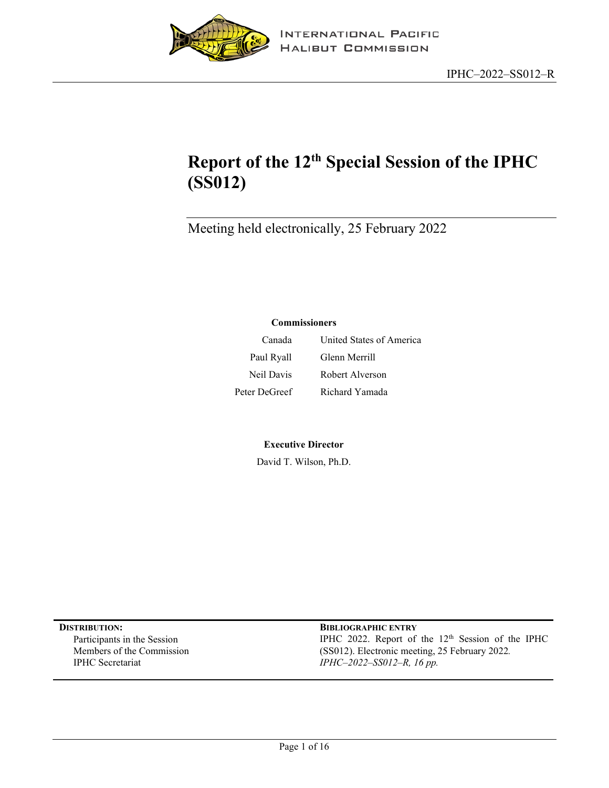

# **Report of the 12th Special Session of the IPHC (SS012)**

Meeting held electronically, 25 February 2022

#### **Commissioners**

| Canada        | United States of America |
|---------------|--------------------------|
| Paul Ryall    | Glenn Merrill            |
| Neil Davis    | Robert Alverson          |
| Peter DeGreef | Richard Yamada           |

#### **Executive Director**

David T. Wilson, Ph.D.

**DISTRIBUTION: BIBLIOGRAPHIC ENTRY** Participants in the Session Members of the Commission IPHC Secretariat

IPHC 2022. Report of the 12<sup>th</sup> Session of the IPHC (SS012). Electronic meeting, 25 February 2022*. IPHC–2022–SS012–R, 16 pp.*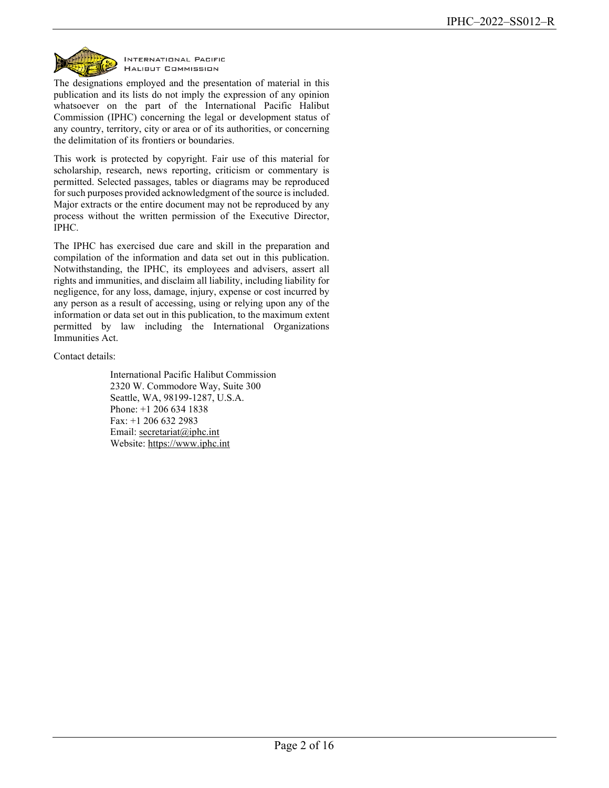

INTERNATIONAL PACIFIC **HALIBUT COMMISSION** 

The designations employed and the presentation of material in this publication and its lists do not imply the expression of any opinion whatsoever on the part of the International Pacific Halibut Commission (IPHC) concerning the legal or development status of any country, territory, city or area or of its authorities, or concerning the delimitation of its frontiers or boundaries.

This work is protected by copyright. Fair use of this material for scholarship, research, news reporting, criticism or commentary is permitted. Selected passages, tables or diagrams may be reproduced for such purposes provided acknowledgment of the source is included. Major extracts or the entire document may not be reproduced by any process without the written permission of the Executive Director, IPHC.

The IPHC has exercised due care and skill in the preparation and compilation of the information and data set out in this publication. Notwithstanding, the IPHC, its employees and advisers, assert all rights and immunities, and disclaim all liability, including liability for negligence, for any loss, damage, injury, expense or cost incurred by any person as a result of accessing, using or relying upon any of the information or data set out in this publication, to the maximum extent permitted by law including the International Organizations Immunities Act.

Contact details:

International Pacific Halibut Commission 2320 W. Commodore Way, Suite 300 Seattle, WA, 98199-1287, U.S.A. Phone: +1 206 634 1838 Fax: +1 206 632 2983 Email: [secretariat@iphc.int](mailto:secretariat@iphc.int) Website: https://www.iphc.int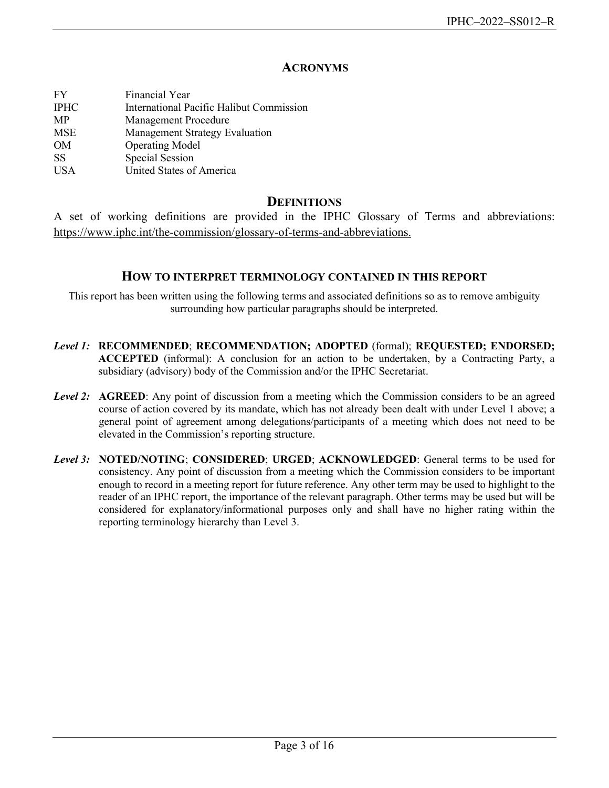# **ACRONYMS**

| FY          | Financial Year                           |
|-------------|------------------------------------------|
| <b>IPHC</b> | International Pacific Halibut Commission |
| MP          | <b>Management Procedure</b>              |
| MSE         | <b>Management Strategy Evaluation</b>    |
| OM          | <b>Operating Model</b>                   |
| <b>SS</b>   | Special Session                          |
| <b>USA</b>  | United States of America                 |

## **DEFINITIONS**

A set of working definitions are provided in the IPHC Glossary of Terms and abbreviations: [https://www.iphc.int/the-commission/glossary-of-terms-and-abbreviations.](https://www.iphc.int/the-commission/glossary-of-terms-and-abbreviations)

### **HOW TO INTERPRET TERMINOLOGY CONTAINED IN THIS REPORT**

This report has been written using the following terms and associated definitions so as to remove ambiguity surrounding how particular paragraphs should be interpreted.

- *Level 1:* **RECOMMENDED**; **RECOMMENDATION; ADOPTED** (formal); **REQUESTED; ENDORSED; ACCEPTED** (informal): A conclusion for an action to be undertaken, by a Contracting Party, a subsidiary (advisory) body of the Commission and/or the IPHC Secretariat.
- *Level 2:* **AGREED**: Any point of discussion from a meeting which the Commission considers to be an agreed course of action covered by its mandate, which has not already been dealt with under Level 1 above; a general point of agreement among delegations/participants of a meeting which does not need to be elevated in the Commission's reporting structure.
- *Level 3:* **NOTED/NOTING**; **CONSIDERED**; **URGED**; **ACKNOWLEDGED**: General terms to be used for consistency. Any point of discussion from a meeting which the Commission considers to be important enough to record in a meeting report for future reference. Any other term may be used to highlight to the reader of an IPHC report, the importance of the relevant paragraph. Other terms may be used but will be considered for explanatory/informational purposes only and shall have no higher rating within the reporting terminology hierarchy than Level 3.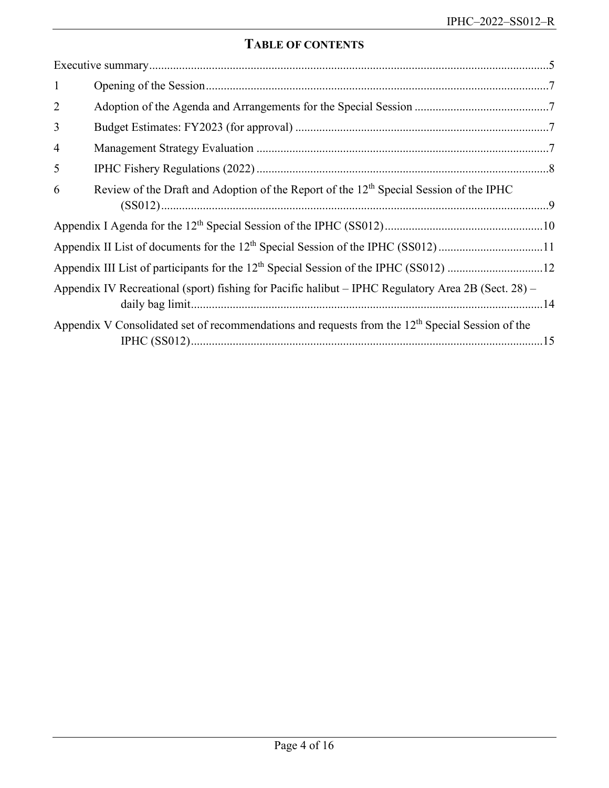# **TABLE OF CONTENTS**

| $\mathbf{1}$                                                                                  |                                                                                                     |  |  |
|-----------------------------------------------------------------------------------------------|-----------------------------------------------------------------------------------------------------|--|--|
| $\overline{2}$                                                                                |                                                                                                     |  |  |
| 3                                                                                             |                                                                                                     |  |  |
| $\overline{4}$                                                                                |                                                                                                     |  |  |
| 5                                                                                             |                                                                                                     |  |  |
| 6                                                                                             | Review of the Draft and Adoption of the Report of the 12 <sup>th</sup> Special Session of the IPHC  |  |  |
|                                                                                               |                                                                                                     |  |  |
| Appendix II List of documents for the 12 <sup>th</sup> Special Session of the IPHC (SS012) 11 |                                                                                                     |  |  |
|                                                                                               |                                                                                                     |  |  |
|                                                                                               | Appendix IV Recreational (sport) fishing for Pacific halibut – IPHC Regulatory Area 2B (Sect. 28) – |  |  |
|                                                                                               | Appendix V Consolidated set of recommendations and requests from the $12th$ Special Session of the  |  |  |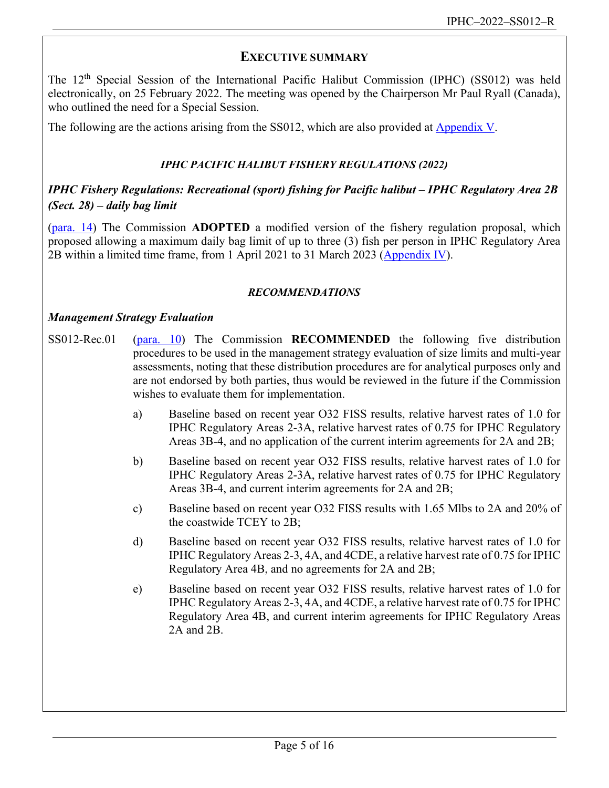# <span id="page-4-0"></span>**EXECUTIVE SUMMARY**

The 12<sup>th</sup> Special Session of the International Pacific Halibut Commission (IPHC) (SS012) was held electronically, on 25 February 2022. The meeting was opened by the Chairperson Mr Paul Ryall (Canada), who outlined the need for a Special Session.

The following are the actions arising from the SS012, which are also provided at [Appendix V.](#page-14-0)

# *IPHC PACIFIC HALIBUT FISHERY REGULATIONS (2022)*

# *IPHC Fishery Regulations: Recreational (sport) fishing for Pacific halibut – IPHC Regulatory Area 2B (Sect. 28) – daily bag limit*

[\(para. 14\)](#page-7-1) The Commission **ADOPTED** a modified version of the fishery regulation proposal, which proposed allowing a maximum daily bag limit of up to three (3) fish per person in IPHC Regulatory Area 2B within a limited time frame, from 1 April 2021 to 31 March 2023 [\(Appendix IV\)](#page-13-0).

## *RECOMMENDATIONS*

### *Management Strategy Evaluation*

- SS012-Rec.01 [\(para. 10\)](#page-7-2) The Commission **RECOMMENDED** the following five distribution procedures to be used in the management strategy evaluation of size limits and multi-year assessments, noting that these distribution procedures are for analytical purposes only and are not endorsed by both parties, thus would be reviewed in the future if the Commission wishes to evaluate them for implementation.
	- a) Baseline based on recent year O32 FISS results, relative harvest rates of 1.0 for IPHC Regulatory Areas 2-3A, relative harvest rates of 0.75 for IPHC Regulatory Areas 3B-4, and no application of the current interim agreements for 2A and 2B;
	- b) Baseline based on recent year O32 FISS results, relative harvest rates of 1.0 for IPHC Regulatory Areas 2-3A, relative harvest rates of 0.75 for IPHC Regulatory Areas 3B-4, and current interim agreements for 2A and 2B;
	- c) Baseline based on recent year O32 FISS results with 1.65 Mlbs to 2A and 20% of the coastwide TCEY to 2B;
	- d) Baseline based on recent year O32 FISS results, relative harvest rates of 1.0 for IPHC Regulatory Areas 2-3, 4A, and 4CDE, a relative harvest rate of 0.75 for IPHC Regulatory Area 4B, and no agreements for 2A and 2B;
	- e) Baseline based on recent year O32 FISS results, relative harvest rates of 1.0 for IPHC Regulatory Areas 2-3, 4A, and 4CDE, a relative harvest rate of 0.75 for IPHC Regulatory Area 4B, and current interim agreements for IPHC Regulatory Areas 2A and 2B.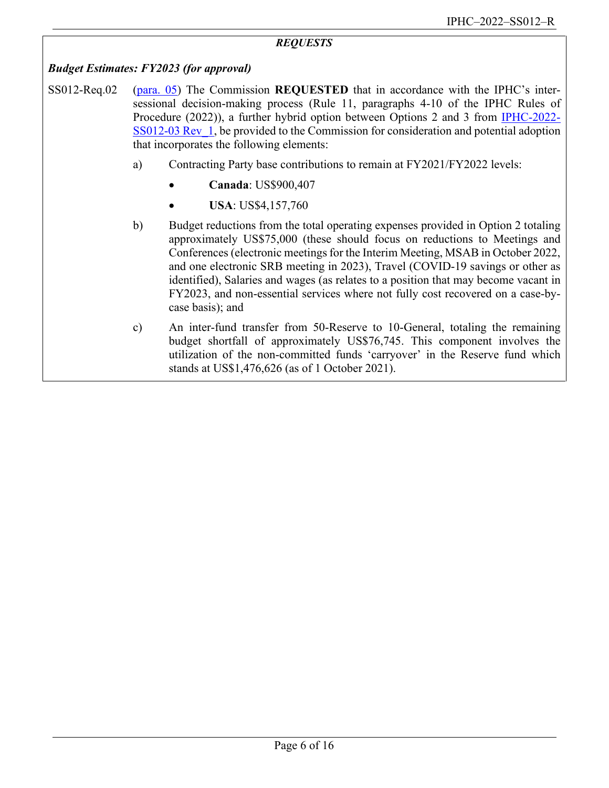#### *REQUESTS*

#### *Budget Estimates: FY2023 (for approval)*

- SS012-Req.02 [\(para. 05\)](#page-6-4) The Commission **REQUESTED** that in accordance with the IPHC's intersessional decision-making process (Rule 11, paragraphs 4-10 of the IPHC Rules of Procedure (2022)), a further hybrid option between Options 2 and 3 from [IPHC-2022-](https://www.iphc.int/uploads/pdf/sps/ss012/iphc-2022-ss012-03.pdf) [SS012-03 Rev\\_1,](https://www.iphc.int/uploads/pdf/sps/ss012/iphc-2022-ss012-03.pdf) be provided to the Commission for consideration and potential adoption that incorporates the following elements:
	- a) Contracting Party base contributions to remain at FY2021/FY2022 levels:
		- **Canada**: US\$900,407
		- **USA**: US\$4,157,760
	- b) Budget reductions from the total operating expenses provided in Option 2 totaling approximately US\$75,000 (these should focus on reductions to Meetings and Conferences (electronic meetings for the Interim Meeting, MSAB in October 2022, and one electronic SRB meeting in 2023), Travel (COVID-19 savings or other as identified), Salaries and wages (as relates to a position that may become vacant in FY2023, and non-essential services where not fully cost recovered on a case-bycase basis); and
	- c) An inter-fund transfer from 50-Reserve to 10-General, totaling the remaining budget shortfall of approximately US\$76,745. This component involves the utilization of the non-committed funds 'carryover' in the Reserve fund which stands at US\$1,476,626 (as of 1 October 2021).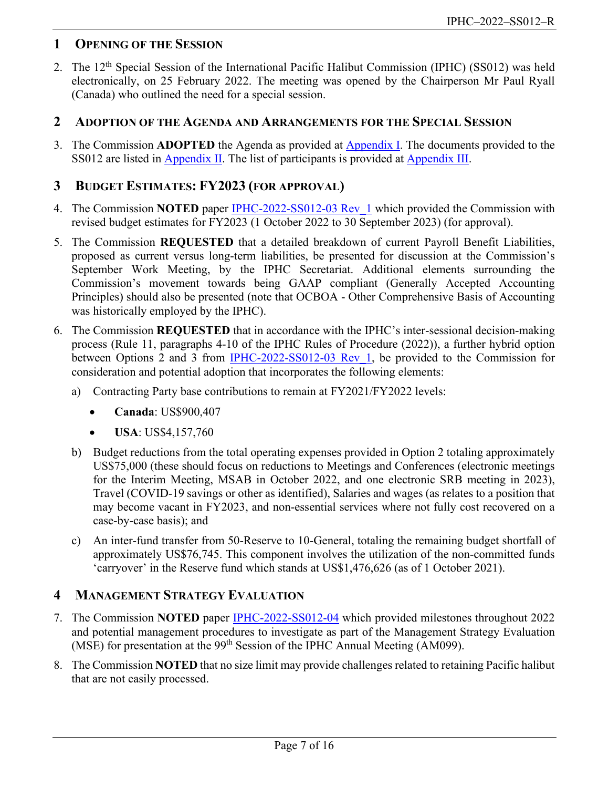# <span id="page-6-0"></span>**1 OPENING OF THE SESSION**

2. The 12<sup>th</sup> Special Session of the International Pacific Halibut Commission (IPHC) (SS012) was held electronically, on 25 February 2022. The meeting was opened by the Chairperson Mr Paul Ryall (Canada) who outlined the need for a special session.

# <span id="page-6-1"></span>**2 ADOPTION OF THE AGENDA AND ARRANGEMENTS FOR THE SPECIAL SESSION**

3. The Commission **ADOPTED** the Agenda as provided at [Appendix I.](#page-9-0) The documents provided to the SS012 are listed in **Appendix II**. The list of participants is provided at **Appendix III**.

# <span id="page-6-2"></span>**3 BUDGET ESTIMATES: FY2023 (FOR APPROVAL)**

- 4. The Commission **NOTED** paper [IPHC-2022-SS012-03 Rev\\_1](https://www.iphc.int/uploads/pdf/sps/ss012/iphc-2022-ss012-03.pdf) which provided the Commission with revised budget estimates for FY2023 (1 October 2022 to 30 September 2023) (for approval).
- <span id="page-6-5"></span>5. The Commission **REQUESTED** that a detailed breakdown of current Payroll Benefit Liabilities, proposed as current versus long-term liabilities, be presented for discussion at the Commission's September Work Meeting, by the IPHC Secretariat. Additional elements surrounding the Commission's movement towards being GAAP compliant (Generally Accepted Accounting Principles) should also be presented (note that OCBOA - Other Comprehensive Basis of Accounting was historically employed by the IPHC).
- <span id="page-6-4"></span>6. The Commission **REQUESTED** that in accordance with the IPHC's inter-sessional decision-making process (Rule 11, paragraphs 4-10 of the IPHC Rules of Procedure (2022)), a further hybrid option between Options 2 and 3 from [IPHC-2022-SS012-03 Rev\\_1,](https://www.iphc.int/uploads/pdf/sps/ss012/iphc-2022-ss012-03.pdf) be provided to the Commission for consideration and potential adoption that incorporates the following elements:
	- a) Contracting Party base contributions to remain at FY2021/FY2022 levels:
		- **Canada**: US\$900,407
		- **USA**: US\$4,157,760
	- b) Budget reductions from the total operating expenses provided in Option 2 totaling approximately US\$75,000 (these should focus on reductions to Meetings and Conferences (electronic meetings for the Interim Meeting, MSAB in October 2022, and one electronic SRB meeting in 2023), Travel (COVID-19 savings or other as identified), Salaries and wages (as relates to a position that may become vacant in FY2023, and non-essential services where not fully cost recovered on a case-by-case basis); and
	- c) An inter-fund transfer from 50-Reserve to 10-General, totaling the remaining budget shortfall of approximately US\$76,745. This component involves the utilization of the non-committed funds 'carryover' in the Reserve fund which stands at US\$1,476,626 (as of 1 October 2021).

# <span id="page-6-3"></span>**4 MANAGEMENT STRATEGY EVALUATION**

- 7. The Commission **NOTED** paper [IPHC-2022-SS012-04](https://www.iphc.int/uploads/pdf/sps/ss012/iphc-2022-ss012-04.pdf) which provided milestones throughout 2022 and potential management procedures to investigate as part of the Management Strategy Evaluation (MSE) for presentation at the 99<sup>th</sup> Session of the IPHC Annual Meeting (AM099).
- 8. The Commission **NOTED** that no size limit may provide challenges related to retaining Pacific halibut that are not easily processed.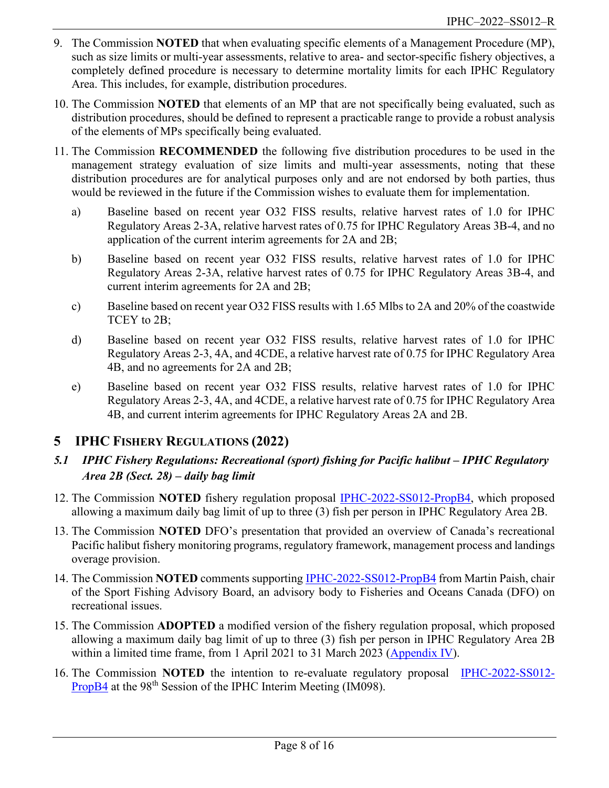- 9. The Commission **NOTED** that when evaluating specific elements of a Management Procedure (MP), such as size limits or multi-year assessments, relative to area- and sector-specific fishery objectives, a completely defined procedure is necessary to determine mortality limits for each IPHC Regulatory Area. This includes, for example, distribution procedures.
- 10. The Commission **NOTED** that elements of an MP that are not specifically being evaluated, such as distribution procedures, should be defined to represent a practicable range to provide a robust analysis of the elements of MPs specifically being evaluated.
- <span id="page-7-2"></span>11. The Commission **RECOMMENDED** the following five distribution procedures to be used in the management strategy evaluation of size limits and multi-year assessments, noting that these distribution procedures are for analytical purposes only and are not endorsed by both parties, thus would be reviewed in the future if the Commission wishes to evaluate them for implementation.
	- a) Baseline based on recent year O32 FISS results, relative harvest rates of 1.0 for IPHC Regulatory Areas 2-3A, relative harvest rates of 0.75 for IPHC Regulatory Areas 3B-4, and no application of the current interim agreements for 2A and 2B;
	- b) Baseline based on recent year O32 FISS results, relative harvest rates of 1.0 for IPHC Regulatory Areas 2-3A, relative harvest rates of 0.75 for IPHC Regulatory Areas 3B-4, and current interim agreements for 2A and 2B;
	- c) Baseline based on recent year O32 FISS results with 1.65 Mlbs to 2A and 20% of the coastwide TCEY to 2B;
	- d) Baseline based on recent year O32 FISS results, relative harvest rates of 1.0 for IPHC Regulatory Areas 2-3, 4A, and 4CDE, a relative harvest rate of 0.75 for IPHC Regulatory Area 4B, and no agreements for 2A and 2B;
	- e) Baseline based on recent year O32 FISS results, relative harvest rates of 1.0 for IPHC Regulatory Areas 2-3, 4A, and 4CDE, a relative harvest rate of 0.75 for IPHC Regulatory Area 4B, and current interim agreements for IPHC Regulatory Areas 2A and 2B.

# <span id="page-7-0"></span>**5 IPHC FISHERY REGULATIONS (2022)**

- *5.1 IPHC Fishery Regulations: Recreational (sport) fishing for Pacific halibut – IPHC Regulatory Area 2B (Sect. 28) – daily bag limit*
- 12. The Commission **NOTED** fishery regulation proposal [IPHC-2022-SS012-PropB4,](https://www.iphc.int/uploads/pdf/sps/ss012/iphc-2022-ss012-propb4.pdf) which proposed allowing a maximum daily bag limit of up to three (3) fish per person in IPHC Regulatory Area 2B.
- 13. The Commission **NOTED** DFO's presentation that provided an overview of Canada's recreational Pacific halibut fishery monitoring programs, regulatory framework, management process and landings overage provision.
- 14. The Commission **NOTED** comments supporting [IPHC-2022-SS012-PropB4](https://www.iphc.int/uploads/pdf/sps/ss012/iphc-2022-ss012-propb4.pdf) from Martin Paish, chair of the Sport Fishing Advisory Board, an advisory body to Fisheries and Oceans Canada (DFO) on recreational issues.
- <span id="page-7-1"></span>15. The Commission **ADOPTED** a modified version of the fishery regulation proposal, which proposed allowing a maximum daily bag limit of up to three (3) fish per person in IPHC Regulatory Area 2B within a limited time frame, from 1 April 2021 to 31 March 2023 [\(Appendix IV\)](#page-13-0).
- 16. The Commission **NOTED** the intention to re-evaluate regulatory proposal **[IPHC-2022-SS012-](https://www.iphc.int/uploads/pdf/sps/ss012/iphc-2022-ss012-propb4.pdf)** [PropB4](https://www.iphc.int/uploads/pdf/sps/ss012/iphc-2022-ss012-propb4.pdf) at the 98<sup>th</sup> Session of the IPHC Interim Meeting (IM098).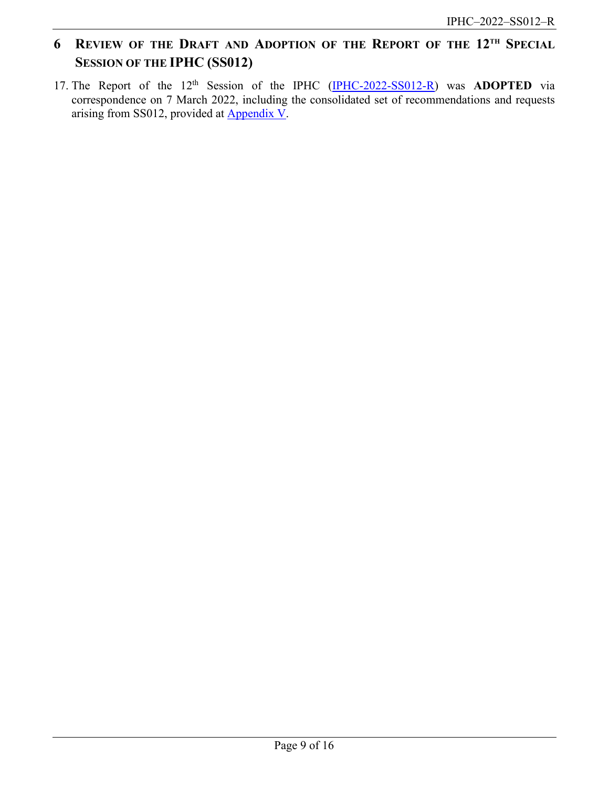# <span id="page-8-0"></span>**6 REVIEW OF THE DRAFT AND ADOPTION OF THE REPORT OF THE 12TH SPECIAL SESSION OF THE IPHC (SS012)**

17. The Report of the 12<sup>th</sup> Session of the IPHC [\(IPHC-2022-SS012-R\)](https://www.iphc.int/venues/details/12th-special-session-of-the-iphc-ss012) was **ADOPTED** via correspondence on 7 March 2022, including the consolidated set of recommendations and requests arising from SS012, provided at [Appendix V.](#page-14-0)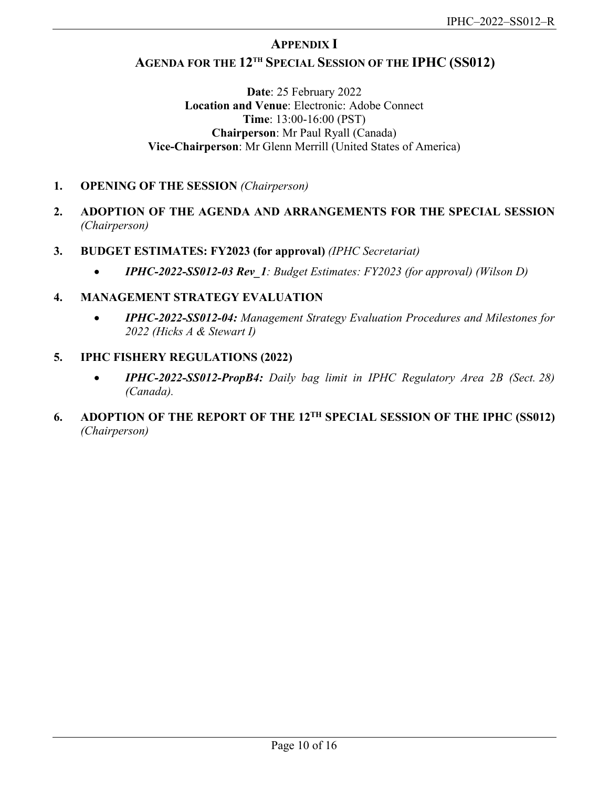# **APPENDIX I**

# <span id="page-9-0"></span>**AGENDA FOR THE 12TH SPECIAL SESSION OF THE IPHC (SS012)**

**Date**: 25 February 2022 **Location and Venue**: Electronic: Adobe Connect **Time**: 13:00-16:00 (PST) **Chairperson**: Mr Paul Ryall (Canada) **Vice-Chairperson**: Mr Glenn Merrill (United States of America)

- **1. OPENING OF THE SESSION** *(Chairperson)*
- **2. ADOPTION OF THE AGENDA AND ARRANGEMENTS FOR THE SPECIAL SESSION** *(Chairperson)*
- **3. BUDGET ESTIMATES: FY2023 (for approval)** *(IPHC Secretariat)*
	- *IPHC-2022-SS012-03 Rev\_1: Budget Estimates: FY2023 (for approval) (Wilson D)*
- **4. MANAGEMENT STRATEGY EVALUATION**
	- *IPHC-2022-SS012-04: Management Strategy Evaluation Procedures and Milestones for 2022 (Hicks A & Stewart I)*
- **5. IPHC FISHERY REGULATIONS (2022)**
	- *IPHC-2022-SS012-PropB4: Daily bag limit in IPHC Regulatory Area 2B (Sect. 28) (Canada).*
- <span id="page-9-1"></span>**6. ADOPTION OF THE REPORT OF THE 12TH SPECIAL SESSION OF THE IPHC (SS012)** *(Chairperson)*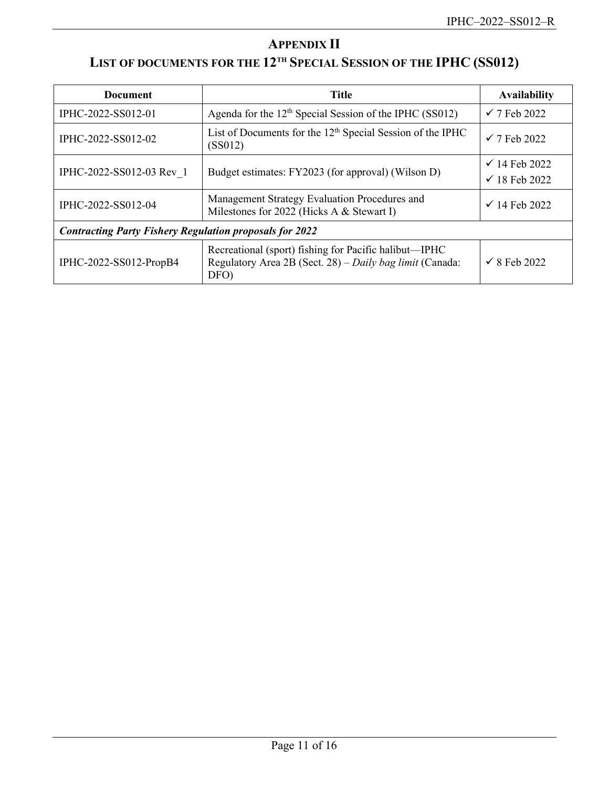# **APPENDIX II**

# <span id="page-10-0"></span>**LIST OF DOCUMENTS FOR THE 12TH SPECIAL SESSION OF THE IPHC (SS012)**

| <b>Document</b>                                                | <b>Title</b>                                                                                                              | <b>Availability</b>                                  |
|----------------------------------------------------------------|---------------------------------------------------------------------------------------------------------------------------|------------------------------------------------------|
| IPHC-2022-SS012-01                                             | Agenda for the $12th$ Special Session of the IPHC (SS012)                                                                 | $\checkmark$ 7 Feb 2022                              |
| IPHC-2022-SS012-02                                             | List of Documents for the 12 <sup>th</sup> Special Session of the IPHC<br>(SS012)                                         | $\checkmark$ 7 Feb 2022                              |
| IPHC-2022-SS012-03 Rev 1                                       | Budget estimates: FY2023 (for approval) (Wilson D)                                                                        | $\checkmark$ 14 Feb 2022<br>$\checkmark$ 18 Feb 2022 |
| IPHC-2022-SS012-04                                             | Management Strategy Evaluation Procedures and<br>Milestones for 2022 (Hicks A & Stewart I)                                | $\checkmark$ 14 Feb 2022                             |
| <b>Contracting Party Fishery Regulation proposals for 2022</b> |                                                                                                                           |                                                      |
| IPHC-2022-SS012-PropB4                                         | Recreational (sport) fishing for Pacific halibut—IPHC<br>Regulatory Area 2B (Sect. 28) – Daily bag limit (Canada:<br>DFO) | $\checkmark$ 8 Feb 2022                              |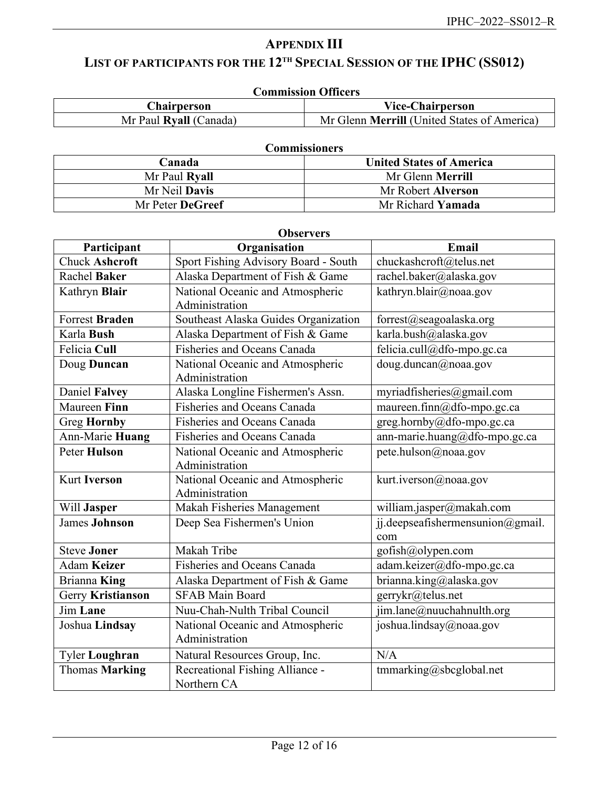# **APPENDIX III**

# <span id="page-11-0"></span>**LIST OF PARTICIPANTS FOR THE 12TH SPECIAL SESSION OF THE IPHC (SS012)**

| <b>Commission Officers</b> |                                                    |  |
|----------------------------|----------------------------------------------------|--|
| <b>Chairperson</b>         | <b>Vice-Chairperson</b>                            |  |
| Mr Paul Ryall (Canada)     | Mr Glenn <b>Merrill</b> (United States of America) |  |

|                  | <b>Commissioners</b>            |
|------------------|---------------------------------|
| Canada           | <b>United States of America</b> |
| Mr Paul Ryall    | Mr Glenn <b>Merrill</b>         |
| Mr Neil Davis    | Mr Robert Alverson              |
| Mr Peter DeGreef | Mr Richard Yamada               |

### **Observers**

| Participant           | Organisation                         | Email                            |
|-----------------------|--------------------------------------|----------------------------------|
| <b>Chuck Ashcroft</b> | Sport Fishing Advisory Board - South | chuckashcroft@telus.net          |
| <b>Rachel Baker</b>   | Alaska Department of Fish & Game     | rachel.baker@alaska.gov          |
| Kathryn Blair         | National Oceanic and Atmospheric     | kathryn.blair@noaa.gov           |
|                       | Administration                       |                                  |
| <b>Forrest Braden</b> | Southeast Alaska Guides Organization | forrest@seagoalaska.org          |
| Karla Bush            | Alaska Department of Fish & Game     | karla.bush@alaska.gov            |
| Felicia Cull          | Fisheries and Oceans Canada          | felicia.cull@dfo-mpo.gc.ca       |
| Doug Duncan           | National Oceanic and Atmospheric     | doug.duncan@noaa.gov             |
|                       | Administration                       |                                  |
| Daniel Falvey         | Alaska Longline Fishermen's Assn.    | myriadfisheries@gmail.com        |
| Maureen Finn          | Fisheries and Oceans Canada          | maureen.finn@dfo-mpo.gc.ca       |
| <b>Greg Hornby</b>    | Fisheries and Oceans Canada          | greg.hornby@dfo-mpo.gc.ca        |
| Ann-Marie Huang       | Fisheries and Oceans Canada          | ann-marie.huang@dfo-mpo.gc.ca    |
| <b>Peter Hulson</b>   | National Oceanic and Atmospheric     | pete.hulson@noaa.gov             |
|                       | Administration                       |                                  |
| <b>Kurt Iverson</b>   | National Oceanic and Atmospheric     | kurt.iverson@noaa.gov            |
|                       | Administration                       |                                  |
| Will Jasper           | Makah Fisheries Management           | william.jasper@makah.com         |
| <b>James Johnson</b>  | Deep Sea Fishermen's Union           | jj.deepseafishermensunion@gmail. |
|                       |                                      | com                              |
| <b>Steve Joner</b>    | Makah Tribe                          | gofish@olypen.com                |
| Adam Keizer           | Fisheries and Oceans Canada          | adam.keizer@dfo-mpo.gc.ca        |
| Brianna King          | Alaska Department of Fish & Game     | brianna.king@alaska.gov          |
| Gerry Kristianson     | <b>SFAB Main Board</b>               | gerrykr@telus.net                |
| <b>Jim Lane</b>       | Nuu-Chah-Nulth Tribal Council        | jim.lane@nuuchahnulth.org        |
| Joshua Lindsay        | National Oceanic and Atmospheric     | joshua.lindsay@noaa.gov          |
|                       | Administration                       |                                  |
| Tyler Loughran        | Natural Resources Group, Inc.        | N/A                              |
| Thomas Marking        | Recreational Fishing Alliance -      | tmmarking@sbcglobal.net          |
|                       | Northern CA                          |                                  |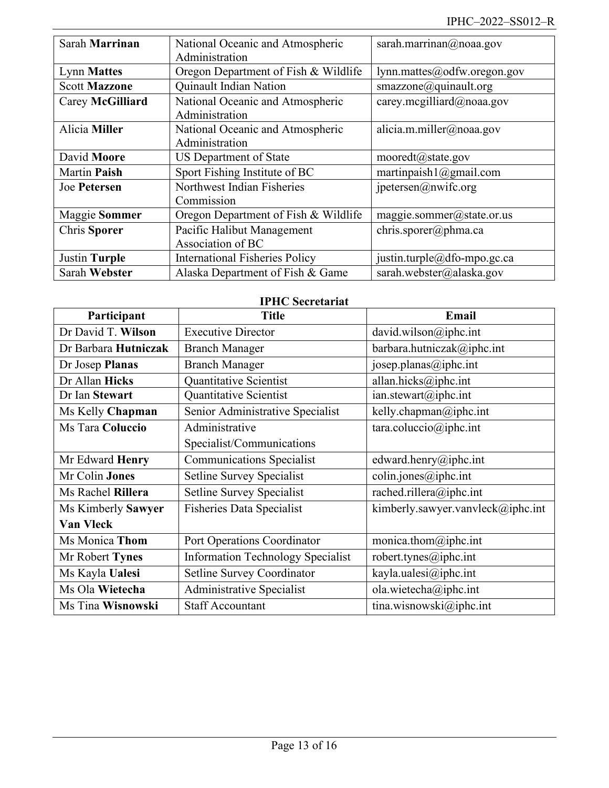| Sarah Marrinan       | National Oceanic and Atmospheric      | sarah.marrinan@noaa.gov            |
|----------------------|---------------------------------------|------------------------------------|
|                      | Administration                        |                                    |
| <b>Lynn Mattes</b>   | Oregon Department of Fish & Wildlife  | lynn.mattes@odfw.oregon.gov        |
| <b>Scott Mazzone</b> | Quinault Indian Nation                | smazzone@quinault.org              |
| Carey McGilliard     | National Oceanic and Atmospheric      | carey.mcgilliard@noaa.gov          |
|                      | Administration                        |                                    |
| Alicia Miller        | National Oceanic and Atmospheric      | alicia.m.miller@noaa.gov           |
|                      | Administration                        |                                    |
| David Moore          | US Department of State                | $moored t(\hat{\omega})$ state.gov |
| <b>Martin Paish</b>  | Sport Fishing Institute of BC         | martinpaish $1$ ( $@g$ mail.com    |
| Joe Petersen         | Northwest Indian Fisheries            | $j$ petersen $(a)$ nwifc.org       |
|                      | Commission                            |                                    |
| <b>Maggie Sommer</b> | Oregon Department of Fish & Wildlife  | maggie.sommer@state.or.us          |
| Chris Sporer         | Pacific Halibut Management            | chris.sporer@phma.ca               |
|                      | Association of BC                     |                                    |
| <b>Justin Turple</b> | <b>International Fisheries Policy</b> | justin.turple@dfo-mpo.gc.ca        |
| Sarah Webster        | Alaska Department of Fish & Game      | sarah.webster@alaska.gov           |

# **IPHC Secretariat**

| Participant          | <b>Title</b>                             | Email                                                     |
|----------------------|------------------------------------------|-----------------------------------------------------------|
| Dr David T. Wilson   | <b>Executive Director</b>                | david.wilson@iphc.int                                     |
| Dr Barbara Hutniczak | <b>Branch Manager</b>                    | barbara.hutniczak@iphc.int                                |
| Dr Josep Planas      | <b>Branch Manager</b>                    | josep.planas@iphc.int                                     |
| Dr Allan Hicks       | <b>Ouantitative Scientist</b>            | allan.hicks@iphc.int                                      |
| Dr Ian Stewart       | Quantitative Scientist                   | $ian.$ stewart@iphc.int                                   |
| Ms Kelly Chapman     | Senior Administrative Specialist         | kelly.chapman@iphc.int                                    |
| Ms Tara Coluccio     | Administrative                           | $\text{tara.coluccio}(\widehat{\boldsymbol{a}})$ iphc.int |
|                      | Specialist/Communications                |                                                           |
| Mr Edward Henry      | <b>Communications Specialist</b>         | edward.henry@iphc.int                                     |
| Mr Colin Jones       | <b>Setline Survey Specialist</b>         | $\text{colin.jones}(\omega)$ iphc.int                     |
| Ms Rachel Rillera    | <b>Setline Survey Specialist</b>         | rached.rillera@iphc.int                                   |
| Ms Kimberly Sawyer   | <b>Fisheries Data Specialist</b>         | kimberly.sawyer.vanvleck@iphc.int                         |
| <b>Van Vleck</b>     |                                          |                                                           |
| Ms Monica Thom       | Port Operations Coordinator              | monica.thom $@$ iphc.int                                  |
| Mr Robert Tynes      | <b>Information Technology Specialist</b> | robert.tynes@iphc.int                                     |
| Ms Kayla Ualesi      | Setline Survey Coordinator               | kayla.ualesi@iphc.int                                     |
| Ms Ola Wietecha      | Administrative Specialist                | ola.wietecha@iphc.int                                     |
| Ms Tina Wisnowski    | <b>Staff Accountant</b>                  | tina.wisnowski@iphc.int                                   |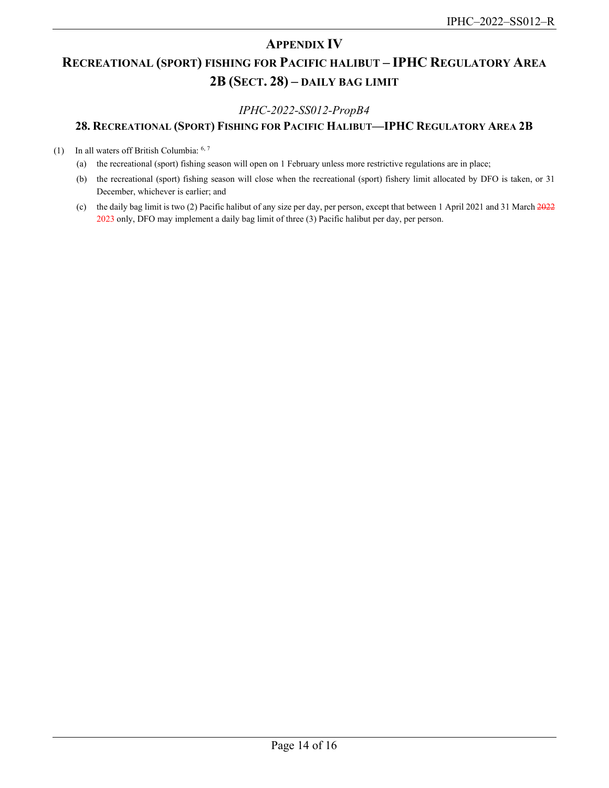# **APPENDIX IV**

# <span id="page-13-0"></span>**RECREATIONAL (SPORT) FISHING FOR PACIFIC HALIBUT – IPHC REGULATORY AREA 2B (SECT. 28) – DAILY BAG LIMIT**

## *IPHC-2022-SS012-PropB4*

# **28. RECREATIONAL (SPORT) FISHING FOR PACIFIC HALIBUT—IPHC REGULATORY AREA 2B**

(1) In all waters off British Columbia: 6, 7

- (a) the recreational (sport) fishing season will open on 1 February unless more restrictive regulations are in place;
- (b) the recreational (sport) fishing season will close when the recreational (sport) fishery limit allocated by DFO is taken, or 31 December, whichever is earlier; and
- (c) the daily bag limit is two (2) Pacific halibut of any size per day, per person, except that between 1 April 2021 and 31 March 2022 2023 only, DFO may implement a daily bag limit of three (3) Pacific halibut per day, per person.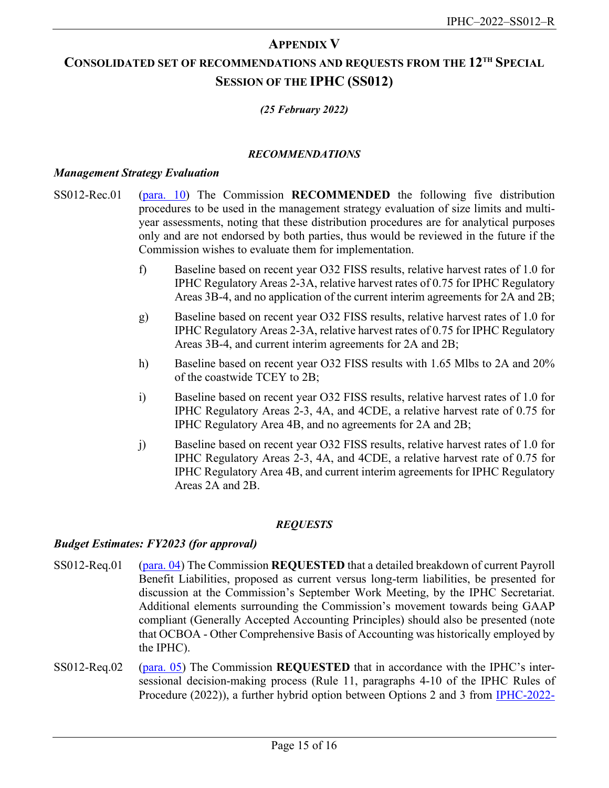# **APPENDIX V**

# <span id="page-14-0"></span>**CONSOLIDATED SET OF RECOMMENDATIONS AND REQUESTS FROM THE 12TH SPECIAL SESSION OF THE IPHC (SS012)**

# *(25 February 2022)*

### *RECOMMENDATIONS*

#### *Management Strategy Evaluation*

- SS012-Rec.01 [\(para. 10\)](#page-7-2) The Commission **RECOMMENDED** the following five distribution procedures to be used in the management strategy evaluation of size limits and multiyear assessments, noting that these distribution procedures are for analytical purposes only and are not endorsed by both parties, thus would be reviewed in the future if the Commission wishes to evaluate them for implementation.
	- f) Baseline based on recent year O32 FISS results, relative harvest rates of 1.0 for IPHC Regulatory Areas 2-3A, relative harvest rates of 0.75 for IPHC Regulatory Areas 3B-4, and no application of the current interim agreements for 2A and 2B;
	- g) Baseline based on recent year O32 FISS results, relative harvest rates of 1.0 for IPHC Regulatory Areas 2-3A, relative harvest rates of 0.75 for IPHC Regulatory Areas 3B-4, and current interim agreements for 2A and 2B;
	- h) Baseline based on recent year O32 FISS results with 1.65 Mlbs to 2A and 20% of the coastwide TCEY to 2B;
	- i) Baseline based on recent year O32 FISS results, relative harvest rates of 1.0 for IPHC Regulatory Areas 2-3, 4A, and 4CDE, a relative harvest rate of 0.75 for IPHC Regulatory Area 4B, and no agreements for 2A and 2B;
	- j) Baseline based on recent year O32 FISS results, relative harvest rates of 1.0 for IPHC Regulatory Areas 2-3, 4A, and 4CDE, a relative harvest rate of 0.75 for IPHC Regulatory Area 4B, and current interim agreements for IPHC Regulatory Areas 2A and 2B.

#### *REQUESTS*

## *Budget Estimates: FY2023 (for approval)*

- SS012-Req.01 [\(para. 04\)](#page-6-5) The Commission **REQUESTED** that a detailed breakdown of current Payroll Benefit Liabilities, proposed as current versus long-term liabilities, be presented for discussion at the Commission's September Work Meeting, by the IPHC Secretariat. Additional elements surrounding the Commission's movement towards being GAAP compliant (Generally Accepted Accounting Principles) should also be presented (note that OCBOA - Other Comprehensive Basis of Accounting was historically employed by the IPHC).
- SS012-Req.02 [\(para.](#page-6-4) 05) The Commission **REQUESTED** that in accordance with the IPHC's intersessional decision-making process (Rule 11, paragraphs 4-10 of the IPHC Rules of Procedure (2022)), a further hybrid option between Options 2 and 3 from [IPHC-2022-](https://www.iphc.int/uploads/pdf/sps/ss012/iphc-2022-ss012-03.pdf)